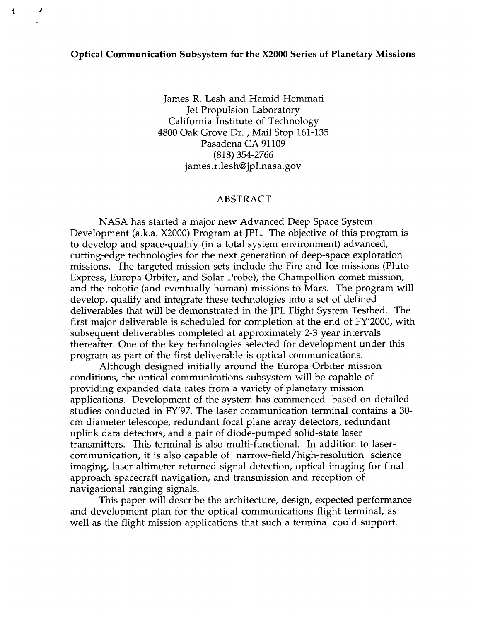## **Optical Communication Subsystem for the X2000 Series of Planetary Missions**

*s J* 

James R. Lesh and Hamid Hemmati Jet Propulsion Laboratory California Institute of Technology 4800 Oak Grove Dr. , Mail Stop 161-135 Pasadena CA 91109 [james.r.lesh@jpl.nasa.gov](mailto:james.r.lesh@jpl.nasa.gov) (818) 354-2766

## ABSTRACT

NASA has started a major new Advanced Deep Space System Development (a.k.a. X2000) Program at JPL. The objective of this program is to develop and space-qualify (in a total system environment) advanced, cutting-edge technologies for the next generation of deep-space exploration missions. The targeted mission sets include the Fire and Ice missions (Pluto Express, Europa Orbiter, and Solar Probe), the Champollion comet mission, and the robotic (and eventually human) missions to Mars. The program will develop, qualify and integrate these technologies into a set of defined deliverables that will be demonstrated in the JPL Flight System Testbed. The first major deliverable is scheduled for completion at the end of FY'2000, with subsequent deliverables completed at approximately 2-3 year intervals thereafter. One of the key technologies selected for development under this program as part of the first deliverable is optical communications.

Although designed initially around the Europa Orbiter mission conditions, the optical communications subsystem will be capable of providing expanded data rates from a variety of planetary mission applications. Development of the system has commenced based on detailed studies conducted in FY'97. The laser communication terminal contains a 30 cm diameter telescope, redundant focal plane array detectors, redundant uplink data detectors, and a pair of diode-pumped solid-state laser transmitters. This terminal is also multi-functional. In addition to lasercommunication, it is also capable of narrow-field/high-resolution science imaging, laser-altimeter returned-signal detection, optical imaging for final approach spacecraft navigation, and transmission and reception of navigational ranging signals.

and development plan for the optical communications flight terminal, as well as the flight mission applications that such a terminal could support. This paper will describe the architecture, design, expected performance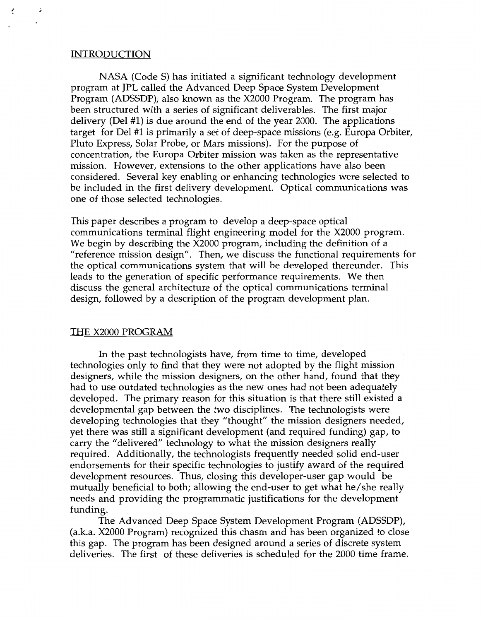## INTRODUCTION

÷

 $\cdot$ 

 $\overline{\cdot}$ 

NASA (Code S) has initiated a significant technology development program at JPL called the Advanced Deep Space System Development Program (ADSSDP); also known as the X2000 Program. The program has been structured with a series of significant deliverables. The first major delivery (Del #1) is due around the end of the year 2000. The applications target for Del #1 is primarily a set of deep-space missions (e.g. Europa Orbiter, Pluto Express, Solar Probe, or Mars missions). For the purpose of concentration, the Europa Orbiter mission was taken as the representative mission. However, extensions to the other applications have also been considered. Several key enabling or enhancing technologies were selected to be included in the first delivery development. Optical communications was one of those selected technologies.

This paper describes a program to develop a deep-space optical communications terminal flight engineering model for the X2000 program. We begin by describing the X2000 program, including the definition of a "reference mission design". Then, we discuss the functional requirements for the optical communications system that will be developed thereunder. This leads to the generation of specific performance requirements. We then discuss the general architecture of the optical communications terminal design, followed by a description of the program development plan.

## THE X2000 PROGRAM

In the past technologists have, from time to time, developed technologies only to find that they were not adopted by the flight mission designers, while the mission designers, on the other hand, found that they had to use outdated technologies as the new ones had not been adequately developed. The primary reason for this situation is that there still existed a developmental gap between the two disciplines. The technologists were developing technologies that they "thought" the mission designers needed, yet there was still a significant development (and required funding) gap, to carry the "delivered" technology to what the mission designers really required. Additionally, the technologists frequently needed solid end-user endorsements for their specific technologies to justify award of the required development resources. Thus, closing this developer-user gap would be mutually beneficial to both; allowing the end-user to get what he/she really needs and providing the programmatic justifications for the development funding.

(a.k.a. X2000 Program) recognized this chasm and has been organized to close this gap. The program has been designed around a series of discrete system deliveries. The first of these deliveries is scheduled for the 2000 time frame. The Advanced Deep Space System Development Program (ADSSDP),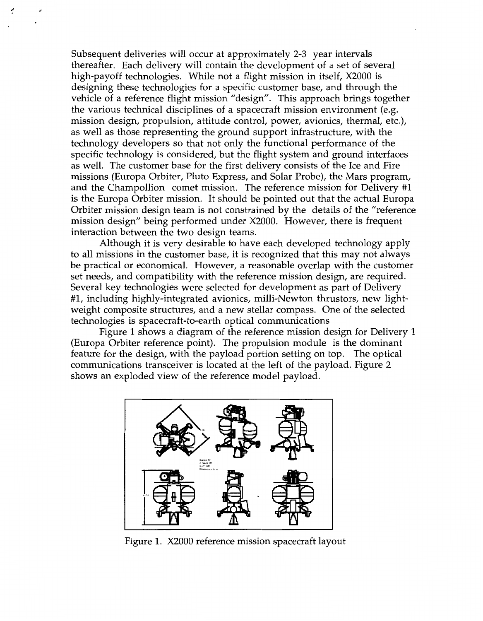Subsequent deliveries will occur at approximately 2-3 year intervals thereafter. Each delivery will contain the development of a set of several high-payoff technologies. While not a flight mission in itself, X2000 is designing these technologies for a specific customer base, and through the vehicle of a reference flight mission "design". This approach brings together the various technical disciplines of a spacecraft mission environment (e.g. mission design, propulsion, attitude control, power, avionics, thermal, etc.), as well as those representing the ground support infrastructure, with the technology developers *so* that not only the functional performance of the specific technology is considered, but the flight system and ground interfaces as well. The customer base for the first delivery consists of the Ice and Fire missions (Europa Orbiter, Pluto Express, and Solar Probe), the Mars program, and the Champollion comet mission. The reference mission for Delivery #1 is the Europa Orbiter mission. It should be pointed out that the actual Europa Orbiter mission design team is not constrained by the details of the "reference mission design" being performed under X2000. However, there is frequent interaction between the two design teams.

Although it is very desirable to have each developed technology apply to all missions in the customer base, it is recognized that this may not always be practical or economical. However, a reasonable overlap with the customer set needs, and compatibility with the reference mission design, are required. Several key technologies were selected for development as part of Delivery #1, including highly-integrated avionics, milli-Newton thrustors, new lightweight composite structures, and a new stellar compass. One of the selected technologies is spacecraft-to-earth optical communications

(Europa Orbiter reference point). The propulsion module is the dominant feature for the design, with the payload portion setting on top. The optical communications transceiver is located at the left of the payload. [Figure 2](#page-3-0) shows an exploded view of the reference model payload. Figure 1 shows a diagram of the reference mission design for Delivery 1



Figure 1. X2000 reference mission spacecraft layout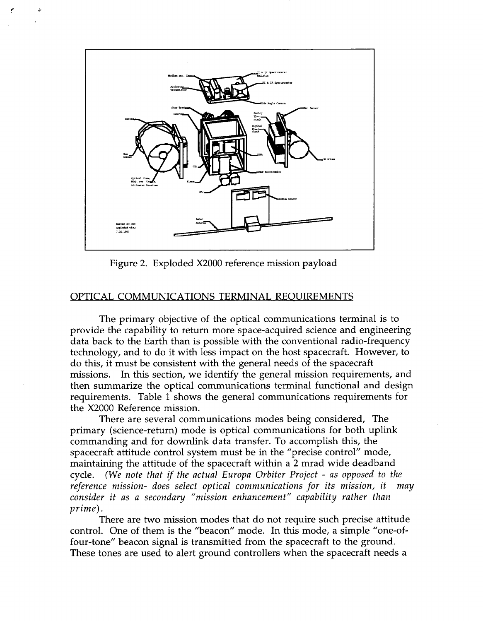

<span id="page-3-0"></span>**3** *L.* 

Figure 2. Exploded X2000 reference mission payload

## OPTICAL COMMUNICATIONS TERMINAL REOUIREMENTS

The primary objective of the optical communications terminal is to provide the capability to return more space-acquired science and engineering data back to the Earth than is possible with the conventional radio-frequency technology, and to do it with less impact on the host spacecraft. However, to do this, it must be consistent with the general needs of the spacecraft missions. In this section, we identify the general mission requirements, and then summarize the optical communications terminal functional and design requirements. [Table 1](#page-4-0) shows the general communications requirements for the X2000 Reference mission.

primary (science-return) mode is optical communications for both uplink commanding and for downlink data transfer. To accomplish this, the spacecraft attitude control system must be in the "precise control" mode, maintaining the attitude of the spacecraft within a **2** mrad wide deadband cycle. *(We note that if the actual Europa Orbiter Project - as opposed to the reference mission- does select optical communications for its mission, it may consider it as a secondary "mission enhancement" capability rather than prime).*  There are several communications modes being considered, The

There are two mission modes that do not require such precise attitude control. One of them is the "beacon" mode. In this mode, a simple "one-offour-tone" beacon signal is transmitted from the spacecraft to the ground. These tones are used to alert ground controllers when the spacecraft needs a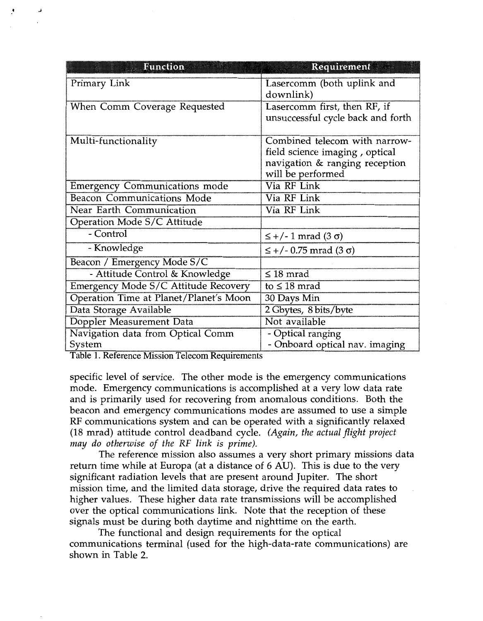| Function                               | <b>Requirement</b>                                                                                                     |
|----------------------------------------|------------------------------------------------------------------------------------------------------------------------|
| Primary Link                           | Lasercomm (both uplink and<br>downlink)                                                                                |
| When Comm Coverage Requested           | Lasercomm first, then RF, if<br>unsuccessful cycle back and forth                                                      |
| Multi-functionality                    | Combined telecom with narrow-<br>field science imaging, optical<br>navigation & ranging reception<br>will be performed |
| <b>Emergency Communications mode</b>   | Via RF Link                                                                                                            |
| <b>Beacon Communications Mode</b>      | Via RF Link                                                                                                            |
| Near Earth Communication               | Via RF Link                                                                                                            |
| Operation Mode S/C Attitude            |                                                                                                                        |
| - Control                              | $\leq$ +/- 1 mrad (3 $\sigma$ )                                                                                        |
| - Knowledge                            | $\leq$ +/- 0.75 mrad (3 $\sigma$ )                                                                                     |
| Beacon / Emergency Mode S/C            |                                                                                                                        |
| - Attitude Control & Knowledge         | $\leq 18$ mrad                                                                                                         |
| Emergency Mode S/C Attitude Recovery   | to $\leq 18$ mrad                                                                                                      |
| Operation Time at Planet/Planet's Moon | 30 Days Min                                                                                                            |
| Data Storage Available                 | 2 Gbytes, 8 bits/byte                                                                                                  |
| Doppler Measurement Data               | Not available                                                                                                          |
| Navigation data from Optical Comm      | - Optical ranging                                                                                                      |
| System                                 | - Onboard optical nav. imaging                                                                                         |

Table 1. Reference Mission Telecom Requirements

<span id="page-4-0"></span>\* **J** 

specific level of service. The other mode is the emergency communications mode. Emergency communications is accomplished at a very low data rate and is primarily used for recovering from anomalous conditions. Both the beacon and emergency communications modes are assumed to use a simple RF communications system and can be operated with a significantly relaxed (18 mrad) attitude control deadband cycle. *(Again, the actual flight project may do otherwise of the RF link is prime).* 

return time while at Europa (at a distance of 6 **AU).** This is due to the very significant radiation levels that are present around Jupiter. The short mission time, and the limited data storage, drive the required data rates to higher values. These higher data rate transmissions will be accomplished over the optical communications link. Note that the reception of these signals must be during both daytime and nighttime on the earth. The reference mission also assumes a very short primary missions data

communications terminal (used for the high-data-rate communications) are shown in [Table](#page-5-0) **2.**  The functional and design requirements for the optical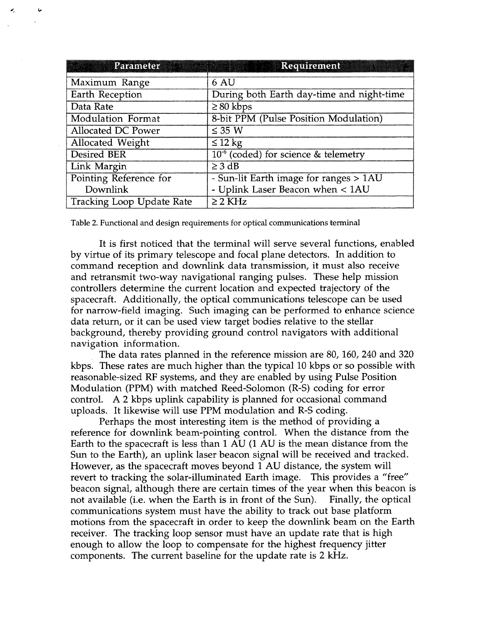<span id="page-5-0"></span>

| Parameter                        | Requirement                               |
|----------------------------------|-------------------------------------------|
| Maximum Range                    | 6 AU                                      |
| Earth Reception                  | During both Earth day-time and night-time |
| Data Rate                        | $\geq 80$ kbps                            |
| Modulation Format                | 8-bit PPM (Pulse Position Modulation)     |
| Allocated DC Power               | $\leq 35$ W                               |
| Allocated Weight                 | $\leq$ 12 kg                              |
| <b>Desired BER</b>               | $10^{-6}$ (coded) for science & telemetry |
| Link Margin                      | $\geq$ 3 dB                               |
| Pointing Reference for           | - Sun-lit Earth image for ranges > 1AU    |
| Downlink                         | - Uplink Laser Beacon when < 1AU          |
| <b>Tracking Loop Update Rate</b> | $\geq$ 2 KHz                              |

Table *2.* Functional and design requirements for optical communications terminal

It is first noticed that the terminal will serve several functions, enabled by virtue of its primary telescope and focal plane detectors. In addition to command reception and downlink data transmission, it must also receive and retransmit two-way navigational ranging pulses. These help mission controllers determine the current location and expected trajectory of the spacecraft. Additionally, the optical communications telescope can be used for narrow-field imaging. Such imaging can be performed to enhance science data return, or it can be used view target bodies relative to the stellar background, thereby providing ground control navigators with additional navigation information.

The data rates planned in the reference mission are 80, 160, 240 and 320 kbps. These rates are much higher than the typical 10 kbps or so possible with reasonable-sized RF systems, and they are enabled by using Pulse Position Modulation (PPM) with matched Reed-Solomon (R-S) coding for error control. A **2** kbps uplink capability is planned for occasional command uploads. It likewise will use PPM modulation and R-S coding.

Perhaps the most interesting item is the method of providing a reference for downlink beam-pointing control. When the distance from the Earth to the spacecraft is less than 1 AU (1 AU is the mean distance from the Sun to the Earth), an uplink laser beacon signal will be received and tracked. However, as the spacecraft moves beyond 1 AU distance, the system will revert to tracking the solar-illuminated Earth image. This provides a "free" beacon signal, although there are certain times of the year when this beacon is not available (i.e. when the Earth is in front of the Sun). Finally, the optical communications system must have the ability to track out base platform motions from the spacecraft in order to keep the downlink beam on the Earth receiver. The tracking loop sensor must have an update rate that is high enough to allow the loop to compensate for the highest frequency jitter components. The current baseline for the update rate is 2 kHz.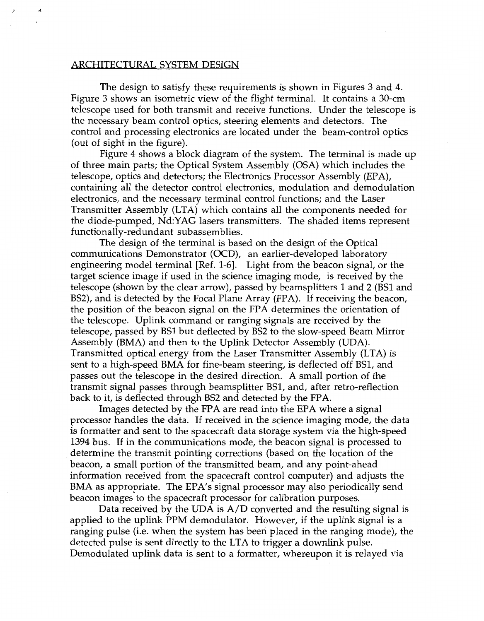#### ARCHITECTURAL SYSTEM DESIGN

&

The design to satisfy these requirements is shown in [Figures 3](#page-7-0) and 4. [Figure 3](#page-7-0) shows an isometric view of the flight terminal. It contains a 30-cm telescope used for both transmit and receive functions. Under the telescope is the necessary beam control optics, steering elements and detectors. The control and processing electronics are located under the beam-control optics (out of sight in the figure).

of three main parts; the Optical System Assembly (OSA) which includes the telescope, optics and detectors; the Electronics Processor Assembly (EPA), containing all the detector control electronics, modulation and demodulation electronics, and the necessary terminal control functions; and the Laser Transmitter Assembly (LTA) which contains all the components needed for the diode-pumped, Nd:YAG lasers transmitters. The shaded items represent functionally-redundant subassemblies. Figure 4 shows a block diagram of the system. The terminal is made up

The design of the terminal is based on the design of the Optical communications Demonstrator (OCD), an earlier-developed laboratory engineering model terminal [Ref. 1-61. Light from the beacon signal, or the target science image if used in the science imaging mode, is received by the telescope (shown by the clear arrow), passed by beamsplitters 1 and 2 (BS1 and BS2), and is detected by the Focal Plane Array (FPA). If receiving the beacon, the position of the beacon signal on the FPA determines the orientation of the telescope. Uplink command or ranging signals are received by the telescope, passed by BS1 but deflected by BS2 to the slow-speed Beam Mirror Assembly (BMA) and then to the Uplink Detector Assembly (UDA). Transmitted optical energy from the Laser Transmitter Assembly (LTA) is sent to a high-speed BMA for fine-beam steering, is deflected off BS1, and passes out the telescope in the desired direction. A small portion of the transmit signal passes through beamsplitter BS1, and, after retro-reflection back to it, is deflected through BS2 and detected by the FPA.

Images detected by the FPA are read into the EPA where a signal processor handles the data. If received in the science imaging mode, the data is formatter and sent to the spacecraft data storage system via the high-speed 1394 bus. If in the communications mode, the beacon signal is processed to determine the transmit pointing corrections (based on the location of the beacon, a small portion of the transmitted beam, and any point-ahead information received from the spacecraft control computer) and adjusts the BMA as appropriate. The EPA's signal processor may also periodically send beacon images to the spacecraft processor for calibration purposes.

applied to the uplink PPM demodulator. However, if the uplink signal is a ranging pulse (i.e. when the system has been placed in the ranging mode), the detected pulse is sent directly to the LTA to trigger a downlink pulse. Demodulated uplink data is sent to a formatter, whereupon it is relayed via Data received by the UDA is  $A/D$  converted and the resulting signal is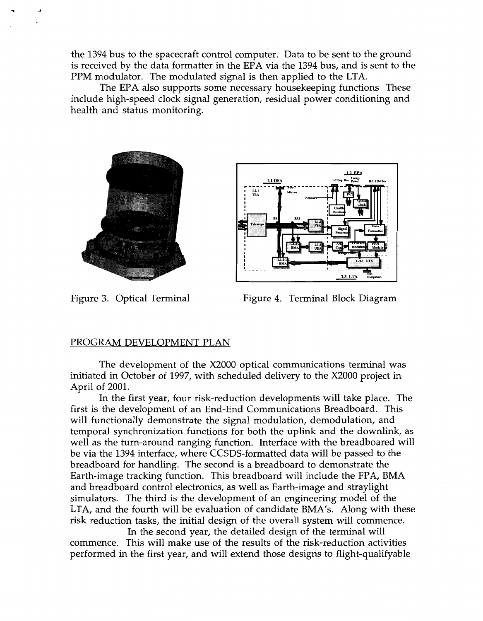<span id="page-7-0"></span>the 1394 bus to the spacecraft control computer. Data to be sent to the ground is received by the data formatter in the EPA via the 1394 bus, and is sent to the PPM modulator. The modulated signal is then applied to the LTA.

The EPA also supports some necessary housekeeping functions These include high-speed clock signal generation, residual power conditioning and health and status monitoring.





Figure 3. Optical Terminal Figure 4. Terminal Block Diagram

# PROGRAM DEVELOPMENT PLAN

The development of the X2000 optical communications terminal was initiated in October of 1997, with scheduled delivery to the X2000 project in April of 2001.

first is the development of an End-End Communications Breadboard. This will functionally demonstrate the signal modulation, demodulation, and temporal synchronization functions for both the uplink and the downlink, as well as the turn-around ranging function. Interface with the breadboared will be via the 1394 interface, where CCSDS-formatted data will be passed to the breadboard for handling. The second is a breadboard to demonstrate the Earth-image tracking function. This breadboard will include the FPA, BMA and breadboard control electronics, as well as Earth-image and straylight simulators. The third is the development of an engineering model of the LTA, and the fourth will be evaluation of candidate BMA's. Along with these risk reduction tasks, the initial design of the overall system will commence. In the first year, four risk-reduction developments will take place. The

commence. This will make use of the results of the risk-reduction activities performed in the first year, and will extend those designs to flight-qualifyable In the second year, the detailed design of the terminal will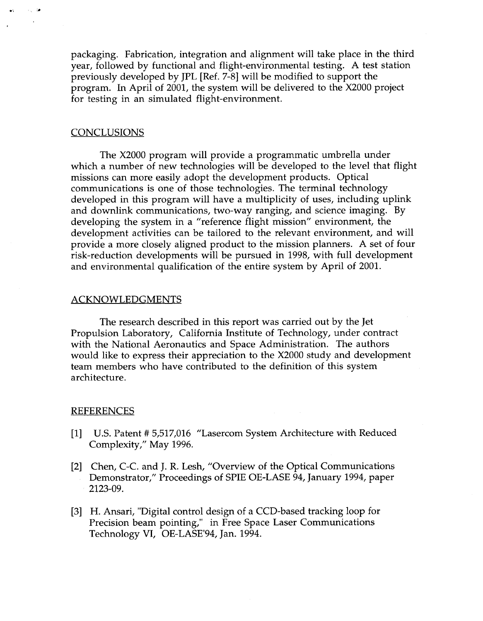packaging. Fabrication, integration and alignment will take place in the third year, followed by functional and flight-environmental testing. A test station previously developed by JPL [Ref. 7-81 will be modified to support the program. In April of 2001, the system will be delivered to the X2000 project for testing in an simulated flight-environment.

#### **CONCLUSIONS**

 $-1.12$ 

The X2000 program will provide a programmatic umbrella under which a number of new technologies will be developed to the level that flight missions can more easily adopt the development products. Optical communications is one of those technologies. The terminal technology developed in this program will have a multiplicity of uses, including uplink and downlink communications, two-way ranging, and science imaging. By developing the system in a "reference flight mission" environment, the development activities can be tailored to the relevant environment, and will provide a more closely aligned product to the mission planners. A set of four risk-reduction developments will be pursued in 1998, with full development and environmental qualification of the entire system by April of 2001.

#### ACKNOWLEDGMENTS

The research described in this report was carried out by the Jet Propulsion Laboratory, California Institute of Technology, under contract with the National Aeronautics and Space Administration. The authors would like to express their appreciation to the X2000 study and development team members who have contributed to the definition of this system architecture.

#### **REFERENCES**

- U.S. Patent # 5,517,016 "Lasercom System Architecture with Reduced Complexity," May 1996.
- [2] Chen, C-C. and J. R. Lesh, "Overview of the Optical Communications Demonstrator," Proceedings of SPIE OE-LASE 94, January 1994, paper 2123-09.
- [3] H. Ansari, "Digital control design of a CCD-based tracking loop for Precision beam pointing," in Free Space Laser Communications Technology VI, OE-LASE'94, Jan. 1994.